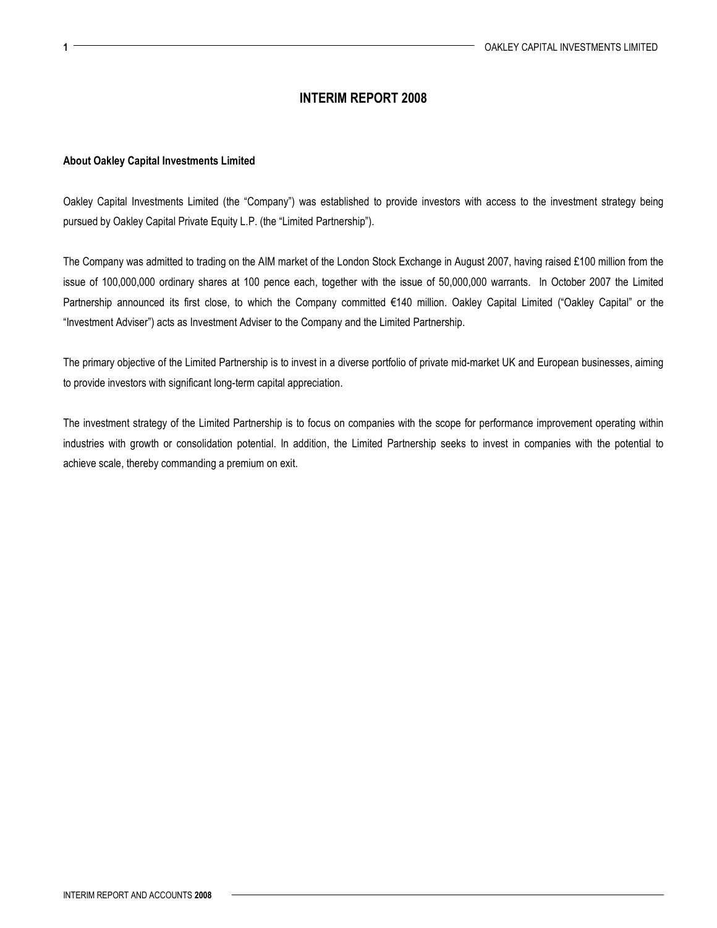## INTERIM REPORT 2008

## About Oakley Capital Investments Limited

Oakley Capital Investments Limited (the "Company") was established to provide investors with access to the investment strategy being pursued by Oakley Capital Private Equity L.P. (the "Limited Partnership").

The Company was admitted to trading on the AIM market of the London Stock Exchange in August 2007, having raised £100 million from the issue of 100,000,000 ordinary shares at 100 pence each, together with the issue of 50,000,000 warrants. In October 2007 the Limited Partnership announced its first close, to which the Company committed €140 million. Oakley Capital Limited ("Oakley Capital" or the "Investment Adviser") acts as Investment Adviser to the Company and the Limited Partnership.

The primary objective of the Limited Partnership is to invest in a diverse portfolio of private mid-market UK and European businesses, aiming to provide investors with significant long-term capital appreciation.

The investment strategy of the Limited Partnership is to focus on companies with the scope for performance improvement operating within industries with growth or consolidation potential. In addition, the Limited Partnership seeks to invest in companies with the potential to achieve scale, thereby commanding a premium on exit.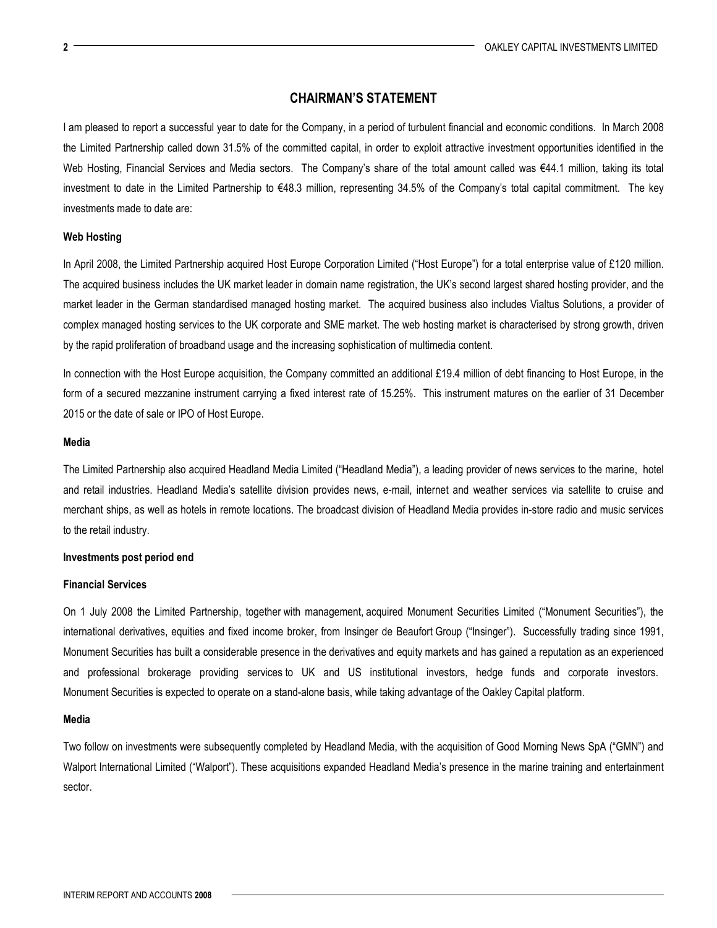## CHAIRMAN'S STATEMENT

I am pleased to report a successful year to date for the Company, in a period of turbulent financial and economic conditions. In March 2008 the Limited Partnership called down 31.5% of the committed capital, in order to exploit attractive investment opportunities identified in the Web Hosting, Financial Services and Media sectors. The Company's share of the total amount called was €44.1 million, taking its total investment to date in the Limited Partnership to €48.3 million, representing 34.5% of the Company's total capital commitment. The key investments made to date are:

### Web Hosting

In April 2008, the Limited Partnership acquired Host Europe Corporation Limited ("Host Europe") for a total enterprise value of £120 million. The acquired business includes the UK market leader in domain name registration, the UK's second largest shared hosting provider, and the market leader in the German standardised managed hosting market. The acquired business also includes Vialtus Solutions, a provider of complex managed hosting services to the UK corporate and SME market. The web hosting market is characterised by strong growth, driven by the rapid proliferation of broadband usage and the increasing sophistication of multimedia content.

In connection with the Host Europe acquisition, the Company committed an additional £19.4 million of debt financing to Host Europe, in the form of a secured mezzanine instrument carrying a fixed interest rate of 15.25%. This instrument matures on the earlier of 31 December 2015 or the date of sale or IPO of Host Europe.

#### Media

The Limited Partnership also acquired Headland Media Limited ("Headland Media"), a leading provider of news services to the marine, hotel and retail industries. Headland Media's satellite division provides news, e-mail, internet and weather services via satellite to cruise and merchant ships, as well as hotels in remote locations. The broadcast division of Headland Media provides in-store radio and music services to the retail industry.

### Investments post period end

#### Financial Services

On 1 July 2008 the Limited Partnership, together with management, acquired Monument Securities Limited ("Monument Securities"), the international derivatives, equities and fixed income broker, from Insinger de Beaufort Group ("Insinger"). Successfully trading since 1991, Monument Securities has built a considerable presence in the derivatives and equity markets and has gained a reputation as an experienced and professional brokerage providing services to UK and US institutional investors, hedge funds and corporate investors. Monument Securities is expected to operate on a stand-alone basis, while taking advantage of the Oakley Capital platform.

#### Media

Two follow on investments were subsequently completed by Headland Media, with the acquisition of Good Morning News SpA ("GMN") and Walport International Limited ("Walport"). These acquisitions expanded Headland Media's presence in the marine training and entertainment sector.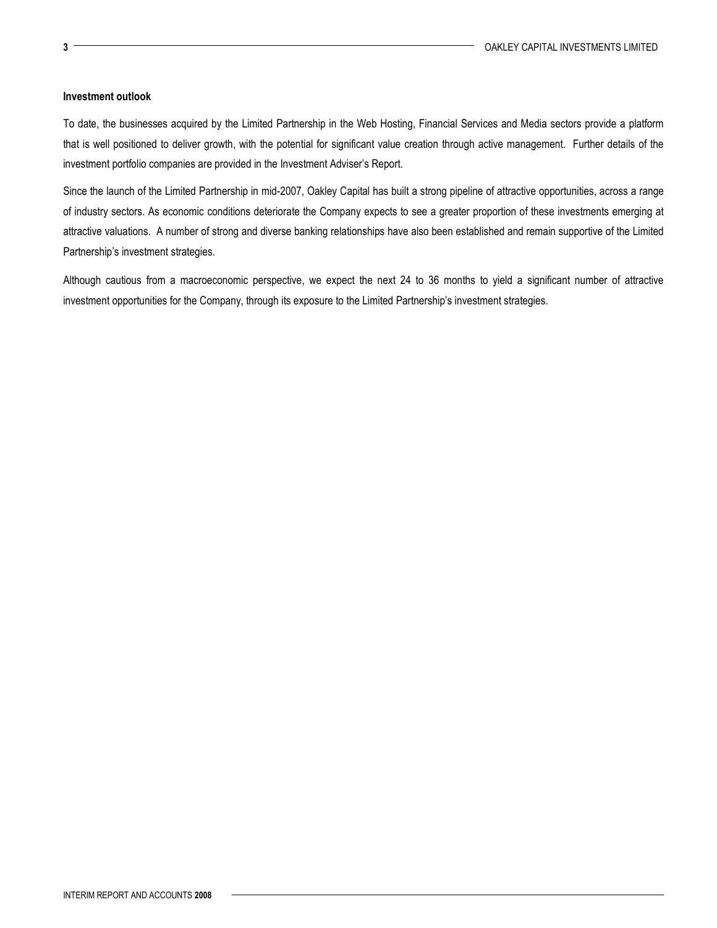## Investment outlook

To date, the businesses acquired by the Limited Partnership in the Web Hosting, Financial Services and Media sectors provide a platform that is well positioned to deliver growth, with the potential for significant value creation through active management. Further details of the investment portfolio companies are provided in the Investment Adviser's Report.

Since the launch of the Limited Partnership in mid-2007, Oakley Capital has built a strong pipeline of attractive opportunities, across a range of industry sectors. As economic conditions deteriorate the Company expects to see a greater proportion of these investments emerging at attractive valuations. A number of strong and diverse banking relationships have also been established and remain supportive of the Limited Partnership's investment strategies.

Although cautious from a macroeconomic perspective, we expect the next 24 to 36 months to yield a significant number of attractive investment opportunities for the Company, through its exposure to the Limited Partnership's investment strategies.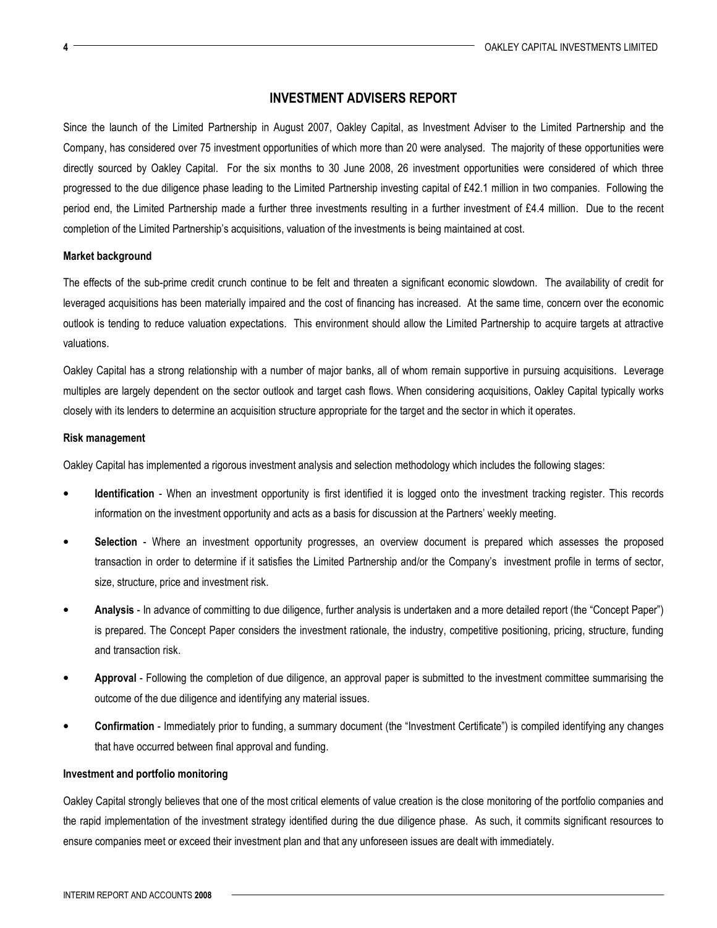## INVESTMENT ADVISERS REPORT

Since the launch of the Limited Partnership in August 2007, Oakley Capital, as Investment Adviser to the Limited Partnership and the Company, has considered over 75 investment opportunities of which more than 20 were analysed. The majority of these opportunities were directly sourced by Oakley Capital. For the six months to 30 June 2008, 26 investment opportunities were considered of which three progressed to the due diligence phase leading to the Limited Partnership investing capital of £42.1 million in two companies. Following the period end, the Limited Partnership made a further three investments resulting in a further investment of £4.4 million. Due to the recent completion of the Limited Partnership's acquisitions, valuation of the investments is being maintained at cost.

### Market background

The effects of the sub-prime credit crunch continue to be felt and threaten a significant economic slowdown. The availability of credit for leveraged acquisitions has been materially impaired and the cost of financing has increased. At the same time, concern over the economic outlook is tending to reduce valuation expectations. This environment should allow the Limited Partnership to acquire targets at attractive valuations.

Oakley Capital has a strong relationship with a number of major banks, all of whom remain supportive in pursuing acquisitions. Leverage multiples are largely dependent on the sector outlook and target cash flows. When considering acquisitions, Oakley Capital typically works closely with its lenders to determine an acquisition structure appropriate for the target and the sector in which it operates.

## Risk management

Oakley Capital has implemented a rigorous investment analysis and selection methodology which includes the following stages:

- Identification When an investment opportunity is first identified it is logged onto the investment tracking register. This records information on the investment opportunity and acts as a basis for discussion at the Partners' weekly meeting.
- Selection Where an investment opportunity progresses, an overview document is prepared which assesses the proposed transaction in order to determine if it satisfies the Limited Partnership and/or the Company's investment profile in terms of sector, size, structure, price and investment risk.
- Analysis In advance of committing to due diligence, further analysis is undertaken and a more detailed report (the "Concept Paper") is prepared. The Concept Paper considers the investment rationale, the industry, competitive positioning, pricing, structure, funding and transaction risk.
- Approval Following the completion of due diligence, an approval paper is submitted to the investment committee summarising the outcome of the due diligence and identifying any material issues.
- Confirmation Immediately prior to funding, a summary document (the "Investment Certificate") is compiled identifying any changes that have occurred between final approval and funding.

## Investment and portfolio monitoring

Oakley Capital strongly believes that one of the most critical elements of value creation is the close monitoring of the portfolio companies and the rapid implementation of the investment strategy identified during the due diligence phase. As such, it commits significant resources to ensure companies meet or exceed their investment plan and that any unforeseen issues are dealt with immediately.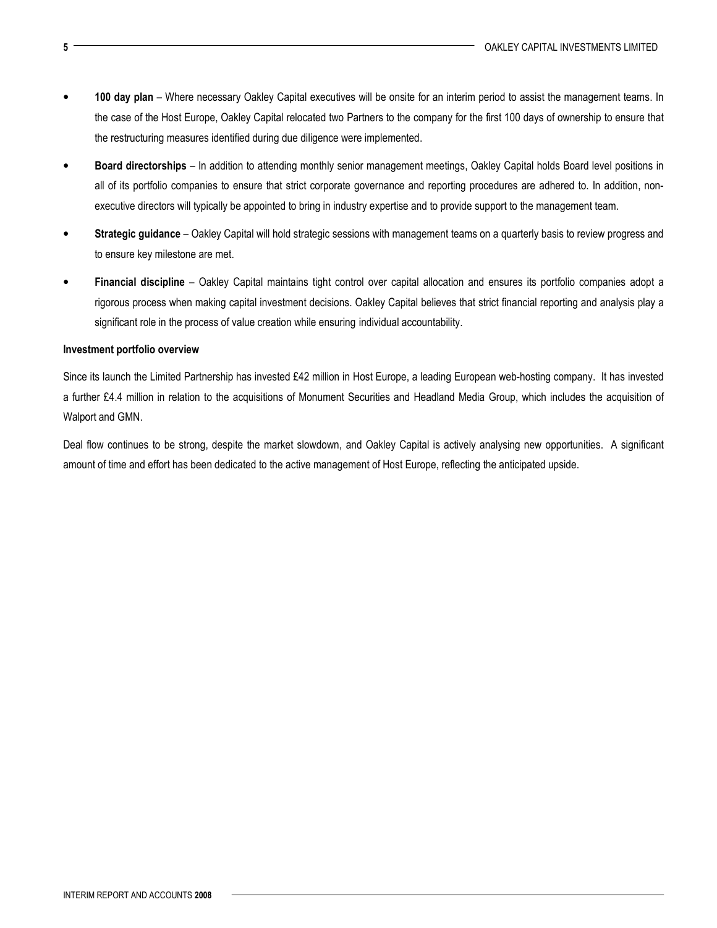- 100 day plan Where necessary Oakley Capital executives will be onsite for an interim period to assist the management teams. In the case of the Host Europe, Oakley Capital relocated two Partners to the company for the first 100 days of ownership to ensure that the restructuring measures identified during due diligence were implemented.
- Board directorships In addition to attending monthly senior management meetings, Oakley Capital holds Board level positions in all of its portfolio companies to ensure that strict corporate governance and reporting procedures are adhered to. In addition, nonexecutive directors will typically be appointed to bring in industry expertise and to provide support to the management team.
- Strategic guidance Oakley Capital will hold strategic sessions with management teams on a quarterly basis to review progress and to ensure key milestone are met.
- Financial discipline Oakley Capital maintains tight control over capital allocation and ensures its portfolio companies adopt a rigorous process when making capital investment decisions. Oakley Capital believes that strict financial reporting and analysis play a significant role in the process of value creation while ensuring individual accountability.

### Investment portfolio overview

Since its launch the Limited Partnership has invested £42 million in Host Europe, a leading European web-hosting company. It has invested a further £4.4 million in relation to the acquisitions of Monument Securities and Headland Media Group, which includes the acquisition of Walport and GMN.

Deal flow continues to be strong, despite the market slowdown, and Oakley Capital is actively analysing new opportunities. A significant amount of time and effort has been dedicated to the active management of Host Europe, reflecting the anticipated upside.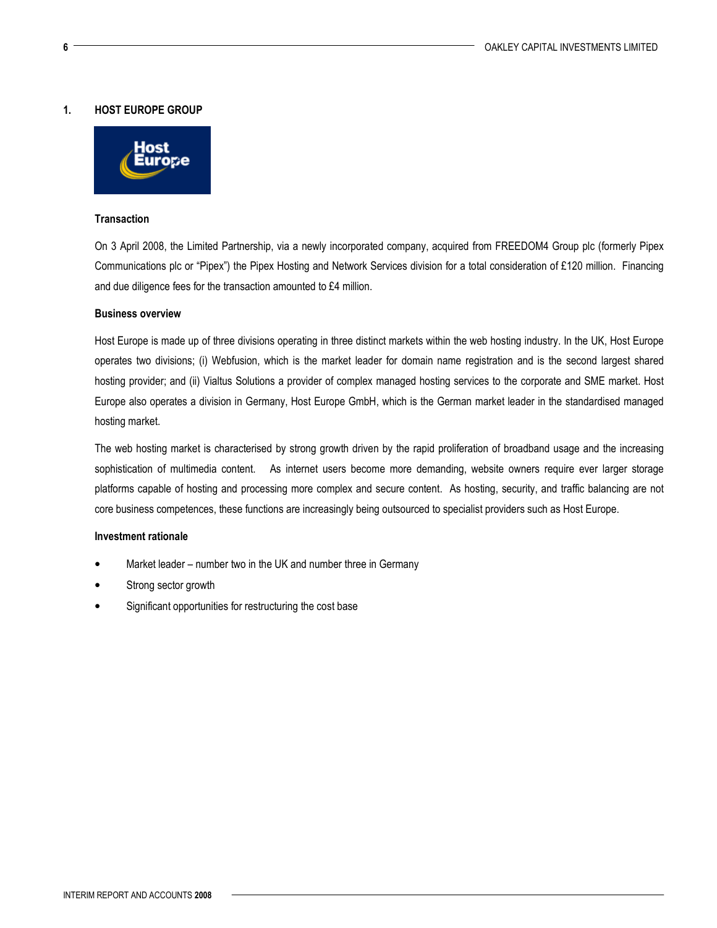## 1. HOST EUROPE GROUP



## **Transaction**

On 3 April 2008, the Limited Partnership, via a newly incorporated company, acquired from FREEDOM4 Group plc (formerly Pipex Communications plc or "Pipex") the Pipex Hosting and Network Services division for a total consideration of £120 million. Financing and due diligence fees for the transaction amounted to £4 million.

### Business overview

Host Europe is made up of three divisions operating in three distinct markets within the web hosting industry. In the UK, Host Europe operates two divisions; (i) Webfusion, which is the market leader for domain name registration and is the second largest shared hosting provider; and (ii) Vialtus Solutions a provider of complex managed hosting services to the corporate and SME market. Host Europe also operates a division in Germany, Host Europe GmbH, which is the German market leader in the standardised managed hosting market.

The web hosting market is characterised by strong growth driven by the rapid proliferation of broadband usage and the increasing sophistication of multimedia content. As internet users become more demanding, website owners require ever larger storage platforms capable of hosting and processing more complex and secure content. As hosting, security, and traffic balancing are not core business competences, these functions are increasingly being outsourced to specialist providers such as Host Europe.

### Investment rationale

- Market leader number two in the UK and number three in Germany
- Strong sector growth
- Significant opportunities for restructuring the cost base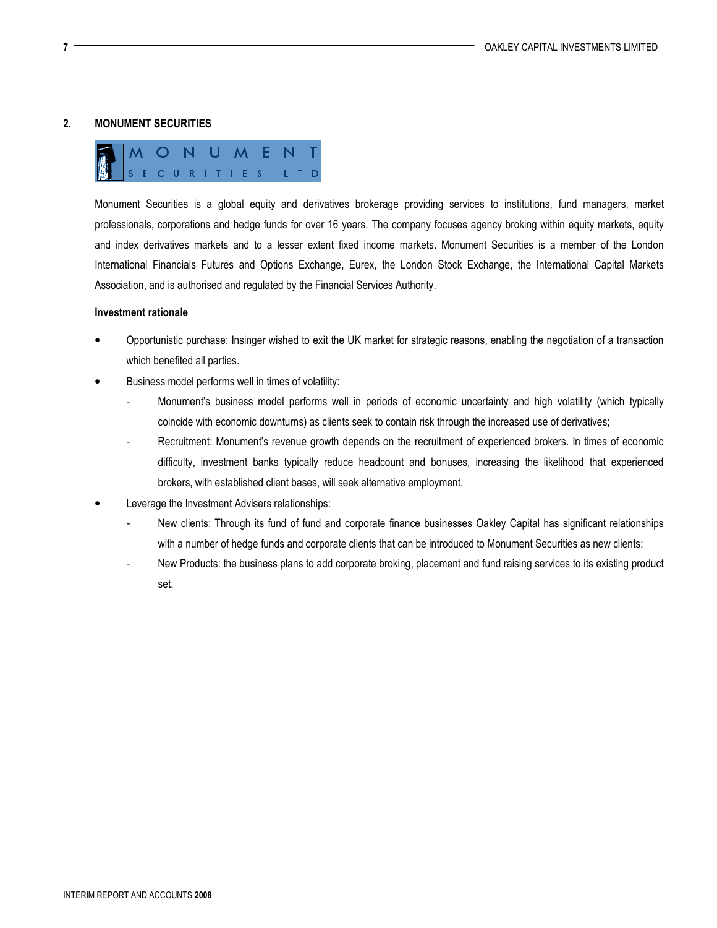## 2. MONUMENT SECURITIES



Monument Securities is a global equity and derivatives brokerage providing services to institutions, fund managers, market professionals, corporations and hedge funds for over 16 years. The company focuses agency broking within equity markets, equity and index derivatives markets and to a lesser extent fixed income markets. Monument Securities is a member of the London International Financials Futures and Options Exchange, Eurex, the London Stock Exchange, the International Capital Markets Association, and is authorised and regulated by the Financial Services Authority.

### Investment rationale

- Opportunistic purchase: Insinger wished to exit the UK market for strategic reasons, enabling the negotiation of a transaction which benefited all parties.
- Business model performs well in times of volatility:
	- Monument's business model performs well in periods of economic uncertainty and high volatility (which typically coincide with economic downturns) as clients seek to contain risk through the increased use of derivatives;
	- Recruitment: Monument's revenue growth depends on the recruitment of experienced brokers. In times of economic difficulty, investment banks typically reduce headcount and bonuses, increasing the likelihood that experienced brokers, with established client bases, will seek alternative employment.
- Leverage the Investment Advisers relationships:
	- New clients: Through its fund of fund and corporate finance businesses Oakley Capital has significant relationships with a number of hedge funds and corporate clients that can be introduced to Monument Securities as new clients;
	- New Products: the business plans to add corporate broking, placement and fund raising services to its existing product set.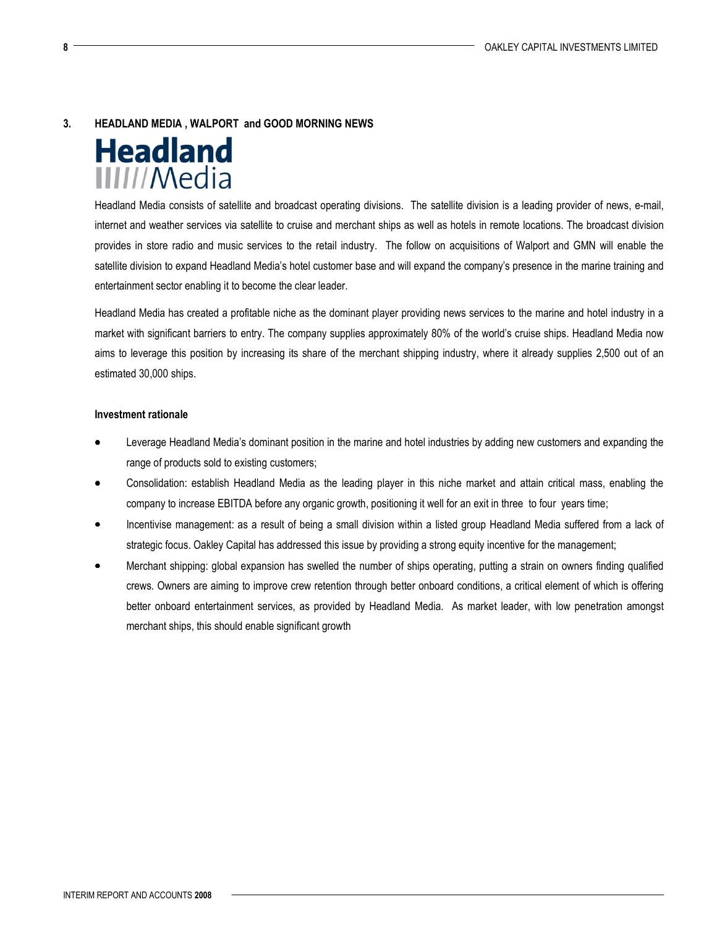## 3. HEADLAND MEDIA , WALPORT and GOOD MORNING NEWS



Headland Media consists of satellite and broadcast operating divisions. The satellite division is a leading provider of news, e-mail, internet and weather services via satellite to cruise and merchant ships as well as hotels in remote locations. The broadcast division provides in store radio and music services to the retail industry. The follow on acquisitions of Walport and GMN will enable the satellite division to expand Headland Media's hotel customer base and will expand the company's presence in the marine training and entertainment sector enabling it to become the clear leader.

Headland Media has created a profitable niche as the dominant player providing news services to the marine and hotel industry in a market with significant barriers to entry. The company supplies approximately 80% of the world's cruise ships. Headland Media now aims to leverage this position by increasing its share of the merchant shipping industry, where it already supplies 2,500 out of an estimated 30,000 ships.

## Investment rationale

- Leverage Headland Media's dominant position in the marine and hotel industries by adding new customers and expanding the range of products sold to existing customers;
- Consolidation: establish Headland Media as the leading player in this niche market and attain critical mass, enabling the company to increase EBITDA before any organic growth, positioning it well for an exit in three to four years time;
- Incentivise management: as a result of being a small division within a listed group Headland Media suffered from a lack of strategic focus. Oakley Capital has addressed this issue by providing a strong equity incentive for the management;
- Merchant shipping: global expansion has swelled the number of ships operating, putting a strain on owners finding qualified crews. Owners are aiming to improve crew retention through better onboard conditions, a critical element of which is offering better onboard entertainment services, as provided by Headland Media. As market leader, with low penetration amongst merchant ships, this should enable significant growth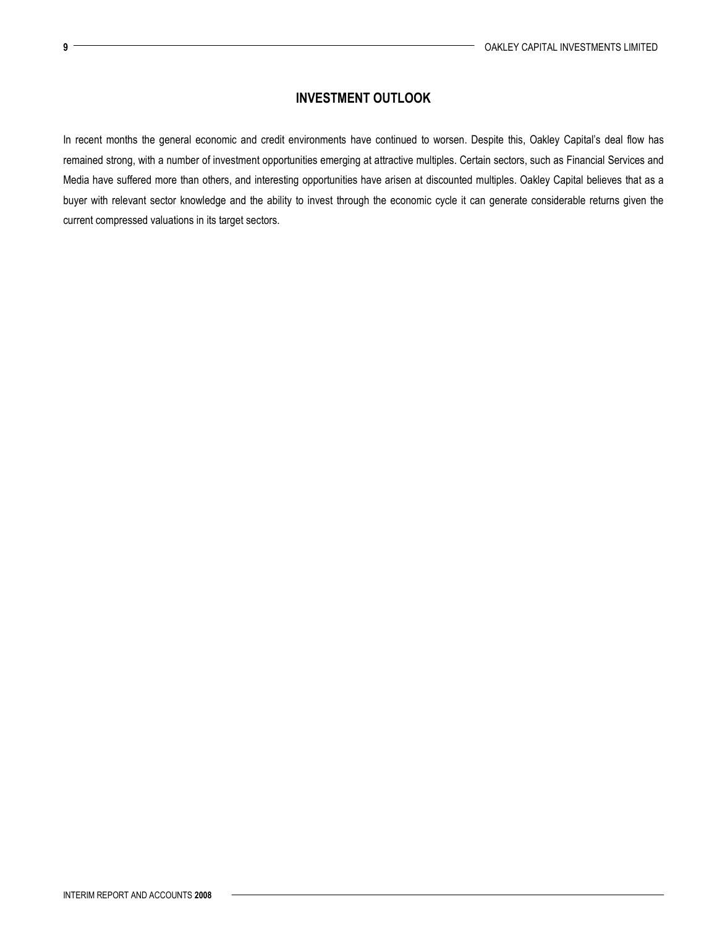# INVESTMENT OUTLOOK

In recent months the general economic and credit environments have continued to worsen. Despite this, Oakley Capital's deal flow has remained strong, with a number of investment opportunities emerging at attractive multiples. Certain sectors, such as Financial Services and Media have suffered more than others, and interesting opportunities have arisen at discounted multiples. Oakley Capital believes that as a buyer with relevant sector knowledge and the ability to invest through the economic cycle it can generate considerable returns given the current compressed valuations in its target sectors.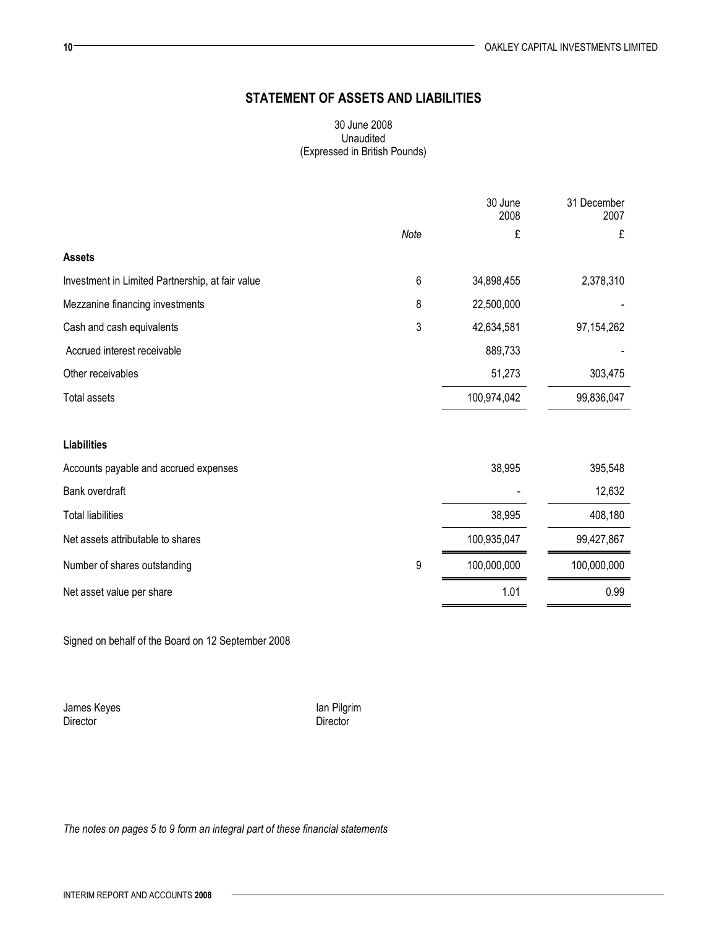# STATEMENT OF ASSETS AND LIABILITIES

## 30 June 2008 Unaudited (Expressed in British Pounds)

|                                                  |         | 30 June<br>2008 | 31 December<br>2007 |
|--------------------------------------------------|---------|-----------------|---------------------|
|                                                  | Note    | £               | £                   |
| <b>Assets</b>                                    |         |                 |                     |
| Investment in Limited Partnership, at fair value | $\,6\,$ | 34,898,455      | 2,378,310           |
| Mezzanine financing investments                  | 8       | 22,500,000      |                     |
| Cash and cash equivalents                        | 3       | 42,634,581      | 97, 154, 262        |
| Accrued interest receivable                      |         | 889,733         |                     |
| Other receivables                                |         | 51,273          | 303,475             |
| <b>Total assets</b>                              |         | 100,974,042     | 99,836,047          |
| <b>Liabilities</b>                               |         |                 |                     |
| Accounts payable and accrued expenses            |         | 38,995          | 395,548             |
| Bank overdraft                                   |         |                 | 12,632              |
| <b>Total liabilities</b>                         |         | 38,995          | 408,180             |
| Net assets attributable to shares                |         | 100,935,047     | 99,427,867          |
| Number of shares outstanding                     | 9       | 100,000,000     | 100,000,000         |
| Net asset value per share                        |         | 1.01            | 0.99                |

Signed on behalf of the Board on 12 September 2008

James Keyes **Ian Pilgrim** Director **Director** Director

The notes on pages 5 to 9 form an integral part of these financial statements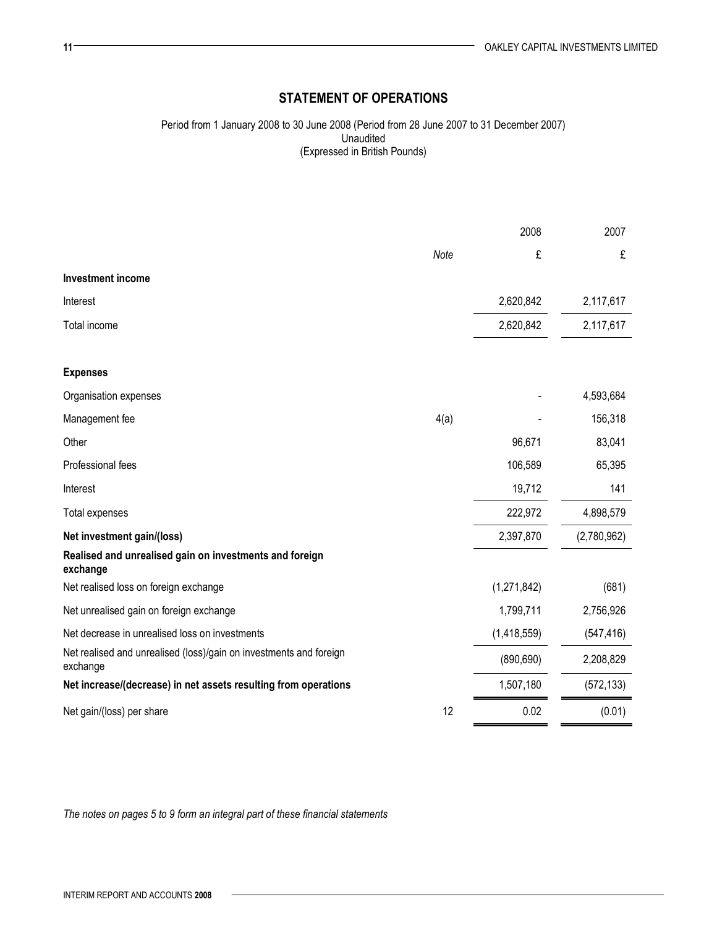# STATEMENT OF OPERATIONS

Period from 1 January 2008 to 30 June 2008 (Period from 28 June 2007 to 31 December 2007) Unaudited (Expressed in British Pounds)

|                                                                                |      | 2008        | 2007        |
|--------------------------------------------------------------------------------|------|-------------|-------------|
|                                                                                | Note | £           | £           |
| <b>Investment income</b>                                                       |      |             |             |
| Interest                                                                       |      | 2,620,842   | 2,117,617   |
| Total income                                                                   |      | 2,620,842   | 2,117,617   |
| <b>Expenses</b>                                                                |      |             |             |
| Organisation expenses                                                          |      |             | 4,593,684   |
| Management fee                                                                 | 4(a) |             | 156,318     |
| Other                                                                          |      | 96,671      | 83,041      |
| Professional fees                                                              |      | 106,589     | 65,395      |
| Interest                                                                       |      | 19,712      | 141         |
| Total expenses                                                                 |      | 222,972     | 4,898,579   |
| Net investment gain/(loss)                                                     |      | 2,397,870   | (2,780,962) |
| Realised and unrealised gain on investments and foreign<br>exchange            |      |             |             |
| Net realised loss on foreign exchange                                          |      | (1,271,842) | (681)       |
| Net unrealised gain on foreign exchange                                        |      | 1,799,711   | 2,756,926   |
| Net decrease in unrealised loss on investments                                 |      | (1,418,559) | (547, 416)  |
| Net realised and unrealised (loss)/gain on investments and foreign<br>exchange |      | (890, 690)  | 2,208,829   |
| Net increase/(decrease) in net assets resulting from operations                |      | 1,507,180   | (572, 133)  |
| Net gain/(loss) per share                                                      | 12   | 0.02        | (0.01)      |

The notes on pages 5 to 9 form an integral part of these financial statements

 $11 -$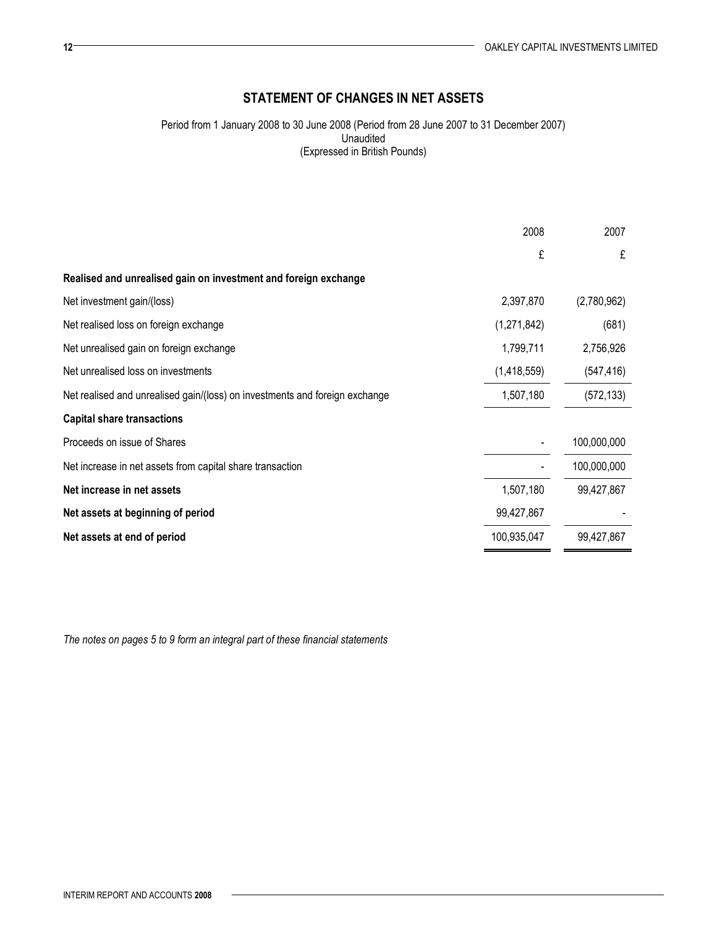# STATEMENT OF CHANGES IN NET ASSETS

Period from 1 January 2008 to 30 June 2008 (Period from 28 June 2007 to 31 December 2007) Unaudited (Expressed in British Pounds)

|                                                                             | 2008        | 2007        |
|-----------------------------------------------------------------------------|-------------|-------------|
|                                                                             | £           | £           |
| Realised and unrealised gain on investment and foreign exchange             |             |             |
| Net investment gain/(loss)                                                  | 2,397,870   | (2,780,962) |
| Net realised loss on foreign exchange                                       | (1,271,842) | (681)       |
| Net unrealised gain on foreign exchange                                     | 1,799,711   | 2,756,926   |
| Net unrealised loss on investments                                          | (1,418,559) | (547, 416)  |
| Net realised and unrealised gain/(loss) on investments and foreign exchange | 1,507,180   | (572, 133)  |
| <b>Capital share transactions</b>                                           |             |             |
| Proceeds on issue of Shares                                                 |             | 100,000,000 |
| Net increase in net assets from capital share transaction                   |             | 100,000,000 |
| Net increase in net assets                                                  | 1,507,180   | 99,427,867  |
| Net assets at beginning of period                                           | 99,427,867  |             |
| Net assets at end of period                                                 | 100,935,047 | 99,427,867  |

The notes on pages 5 to 9 form an integral part of these financial statements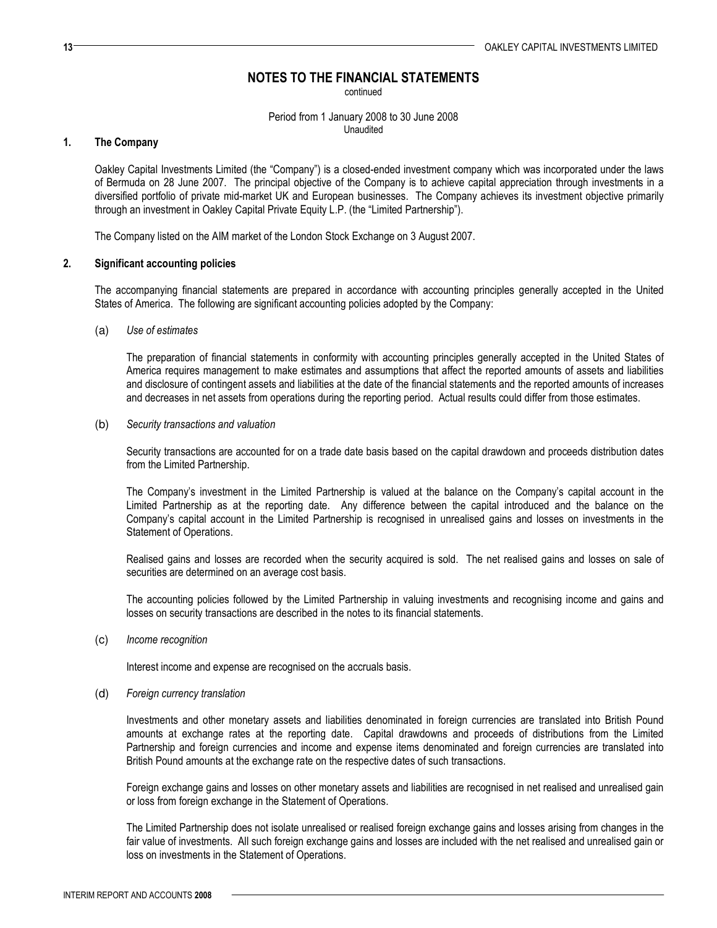continued

Period from 1 January 2008 to 30 June 2008 Unaudited

## 1. The Company

Oakley Capital Investments Limited (the "Company") is a closed-ended investment company which was incorporated under the laws of Bermuda on 28 June 2007. The principal objective of the Company is to achieve capital appreciation through investments in a diversified portfolio of private mid-market UK and European businesses. The Company achieves its investment objective primarily through an investment in Oakley Capital Private Equity L.P. (the "Limited Partnership").

The Company listed on the AIM market of the London Stock Exchange on 3 August 2007.

### 2. Significant accounting policies

The accompanying financial statements are prepared in accordance with accounting principles generally accepted in the United States of America. The following are significant accounting policies adopted by the Company:

(a) Use of estimates

The preparation of financial statements in conformity with accounting principles generally accepted in the United States of America requires management to make estimates and assumptions that affect the reported amounts of assets and liabilities and disclosure of contingent assets and liabilities at the date of the financial statements and the reported amounts of increases and decreases in net assets from operations during the reporting period. Actual results could differ from those estimates.

(b) Security transactions and valuation

Security transactions are accounted for on a trade date basis based on the capital drawdown and proceeds distribution dates from the Limited Partnership.

The Company's investment in the Limited Partnership is valued at the balance on the Company's capital account in the Limited Partnership as at the reporting date. Any difference between the capital introduced and the balance on the Company's capital account in the Limited Partnership is recognised in unrealised gains and losses on investments in the Statement of Operations.

Realised gains and losses are recorded when the security acquired is sold. The net realised gains and losses on sale of securities are determined on an average cost basis.

The accounting policies followed by the Limited Partnership in valuing investments and recognising income and gains and losses on security transactions are described in the notes to its financial statements.

(c) Income recognition

Interest income and expense are recognised on the accruals basis.

(d) Foreign currency translation

Investments and other monetary assets and liabilities denominated in foreign currencies are translated into British Pound amounts at exchange rates at the reporting date. Capital drawdowns and proceeds of distributions from the Limited Partnership and foreign currencies and income and expense items denominated and foreign currencies are translated into British Pound amounts at the exchange rate on the respective dates of such transactions.

Foreign exchange gains and losses on other monetary assets and liabilities are recognised in net realised and unrealised gain or loss from foreign exchange in the Statement of Operations.

The Limited Partnership does not isolate unrealised or realised foreign exchange gains and losses arising from changes in the fair value of investments. All such foreign exchange gains and losses are included with the net realised and unrealised gain or loss on investments in the Statement of Operations.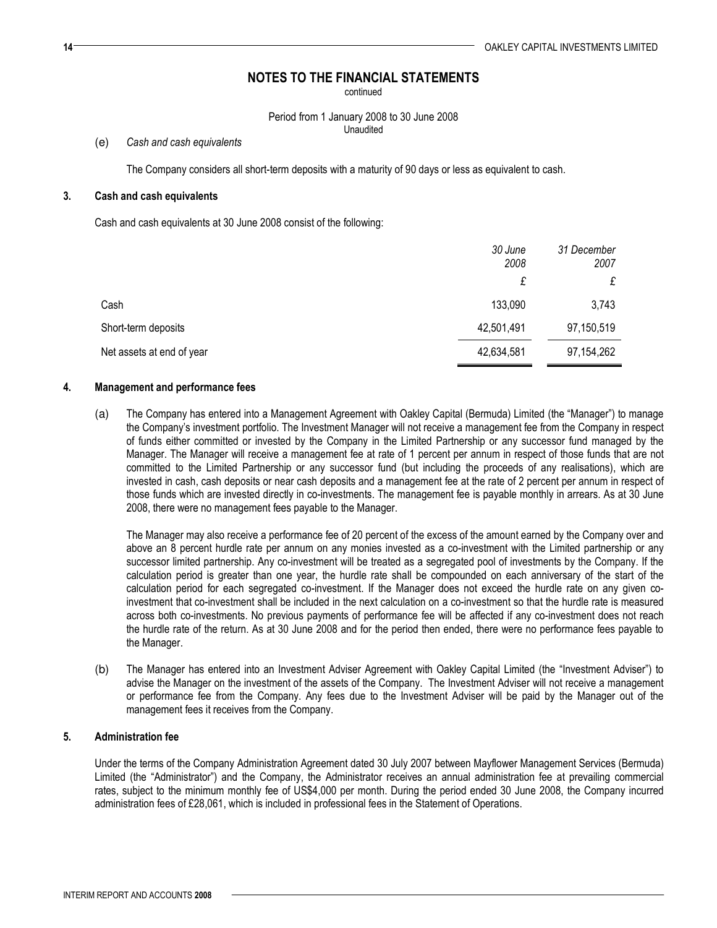continued

Period from 1 January 2008 to 30 June 2008 Unaudited

(e) Cash and cash equivalents

The Company considers all short-term deposits with a maturity of 90 days or less as equivalent to cash.

## 3. Cash and cash equivalents

Cash and cash equivalents at 30 June 2008 consist of the following:

|                           | 30 June<br>2008 | 31 December<br>2007 |
|---------------------------|-----------------|---------------------|
|                           | £               | £                   |
| Cash                      | 133,090         | 3,743               |
| Short-term deposits       | 42,501,491      | 97,150,519          |
| Net assets at end of year | 42,634,581      | 97, 154, 262        |

## 4. Management and performance fees

(a) The Company has entered into a Management Agreement with Oakley Capital (Bermuda) Limited (the "Manager") to manage the Company's investment portfolio. The Investment Manager will not receive a management fee from the Company in respect of funds either committed or invested by the Company in the Limited Partnership or any successor fund managed by the Manager. The Manager will receive a management fee at rate of 1 percent per annum in respect of those funds that are not committed to the Limited Partnership or any successor fund (but including the proceeds of any realisations), which are invested in cash, cash deposits or near cash deposits and a management fee at the rate of 2 percent per annum in respect of those funds which are invested directly in co-investments. The management fee is payable monthly in arrears. As at 30 June 2008, there were no management fees payable to the Manager.

The Manager may also receive a performance fee of 20 percent of the excess of the amount earned by the Company over and above an 8 percent hurdle rate per annum on any monies invested as a co-investment with the Limited partnership or any successor limited partnership. Any co-investment will be treated as a segregated pool of investments by the Company. If the calculation period is greater than one year, the hurdle rate shall be compounded on each anniversary of the start of the calculation period for each segregated co-investment. If the Manager does not exceed the hurdle rate on any given coinvestment that co-investment shall be included in the next calculation on a co-investment so that the hurdle rate is measured across both co-investments. No previous payments of performance fee will be affected if any co-investment does not reach the hurdle rate of the return. As at 30 June 2008 and for the period then ended, there were no performance fees payable to the Manager.

(b) The Manager has entered into an Investment Adviser Agreement with Oakley Capital Limited (the "Investment Adviser") to advise the Manager on the investment of the assets of the Company. The Investment Adviser will not receive a management or performance fee from the Company. Any fees due to the Investment Adviser will be paid by the Manager out of the management fees it receives from the Company.

## 5. Administration fee

Under the terms of the Company Administration Agreement dated 30 July 2007 between Mayflower Management Services (Bermuda) Limited (the "Administrator") and the Company, the Administrator receives an annual administration fee at prevailing commercial rates, subject to the minimum monthly fee of US\$4,000 per month. During the period ended 30 June 2008, the Company incurred administration fees of £28,061, which is included in professional fees in the Statement of Operations.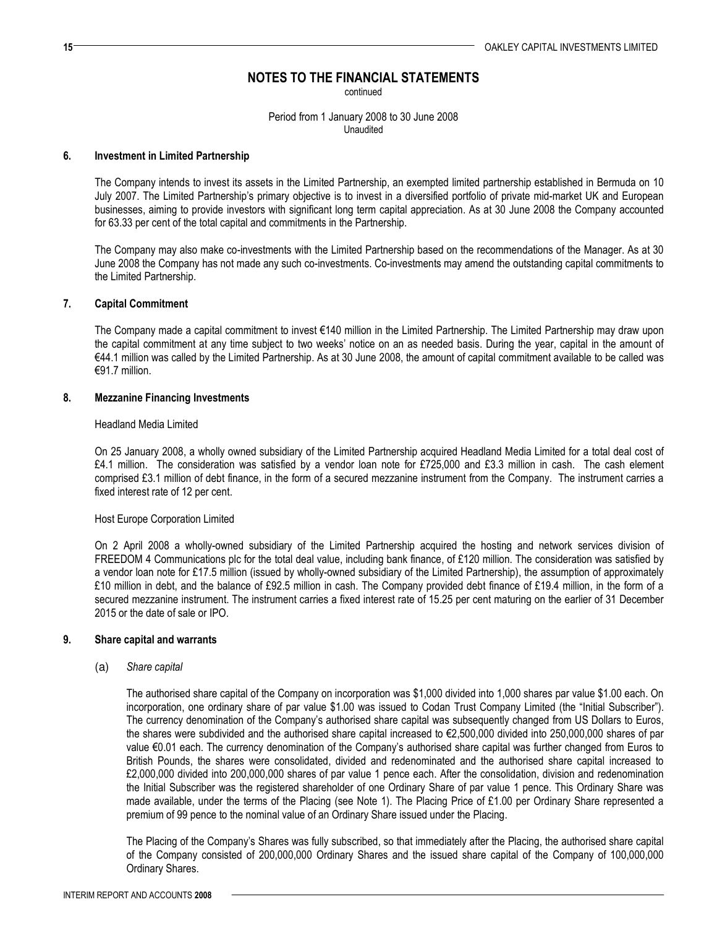continued

Period from 1 January 2008 to 30 June 2008 Unaudited

### 6. Investment in Limited Partnership

The Company intends to invest its assets in the Limited Partnership, an exempted limited partnership established in Bermuda on 10 July 2007. The Limited Partnership's primary objective is to invest in a diversified portfolio of private mid-market UK and European businesses, aiming to provide investors with significant long term capital appreciation. As at 30 June 2008 the Company accounted for 63.33 per cent of the total capital and commitments in the Partnership.

The Company may also make co-investments with the Limited Partnership based on the recommendations of the Manager. As at 30 June 2008 the Company has not made any such co-investments. Co-investments may amend the outstanding capital commitments to the Limited Partnership.

### 7. Capital Commitment

The Company made a capital commitment to invest €140 million in the Limited Partnership. The Limited Partnership may draw upon the capital commitment at any time subject to two weeks' notice on an as needed basis. During the year, capital in the amount of €44.1 million was called by the Limited Partnership. As at 30 June 2008, the amount of capital commitment available to be called was €91.7 million.

### 8. Mezzanine Financing Investments

#### Headland Media Limited

On 25 January 2008, a wholly owned subsidiary of the Limited Partnership acquired Headland Media Limited for a total deal cost of £4.1 million. The consideration was satisfied by a vendor loan note for £725,000 and £3.3 million in cash. The cash element comprised £3.1 million of debt finance, in the form of a secured mezzanine instrument from the Company. The instrument carries a fixed interest rate of 12 per cent.

### Host Europe Corporation Limited

On 2 April 2008 a wholly-owned subsidiary of the Limited Partnership acquired the hosting and network services division of FREEDOM 4 Communications plc for the total deal value, including bank finance, of £120 million. The consideration was satisfied by a vendor loan note for £17.5 million (issued by wholly-owned subsidiary of the Limited Partnership), the assumption of approximately £10 million in debt, and the balance of £92.5 million in cash. The Company provided debt finance of £19.4 million, in the form of a secured mezzanine instrument. The instrument carries a fixed interest rate of 15.25 per cent maturing on the earlier of 31 December 2015 or the date of sale or IPO.

### 9. Share capital and warrants

(a) Share capital

The authorised share capital of the Company on incorporation was \$1,000 divided into 1,000 shares par value \$1.00 each. On incorporation, one ordinary share of par value \$1.00 was issued to Codan Trust Company Limited (the "Initial Subscriber"). The currency denomination of the Company's authorised share capital was subsequently changed from US Dollars to Euros, the shares were subdivided and the authorised share capital increased to €2,500,000 divided into 250,000,000 shares of par value €0.01 each. The currency denomination of the Company's authorised share capital was further changed from Euros to British Pounds, the shares were consolidated, divided and redenominated and the authorised share capital increased to £2,000,000 divided into 200,000,000 shares of par value 1 pence each. After the consolidation, division and redenomination the Initial Subscriber was the registered shareholder of one Ordinary Share of par value 1 pence. This Ordinary Share was made available, under the terms of the Placing (see Note 1). The Placing Price of £1.00 per Ordinary Share represented a premium of 99 pence to the nominal value of an Ordinary Share issued under the Placing.

The Placing of the Company's Shares was fully subscribed, so that immediately after the Placing, the authorised share capital of the Company consisted of 200,000,000 Ordinary Shares and the issued share capital of the Company of 100,000,000 Ordinary Shares.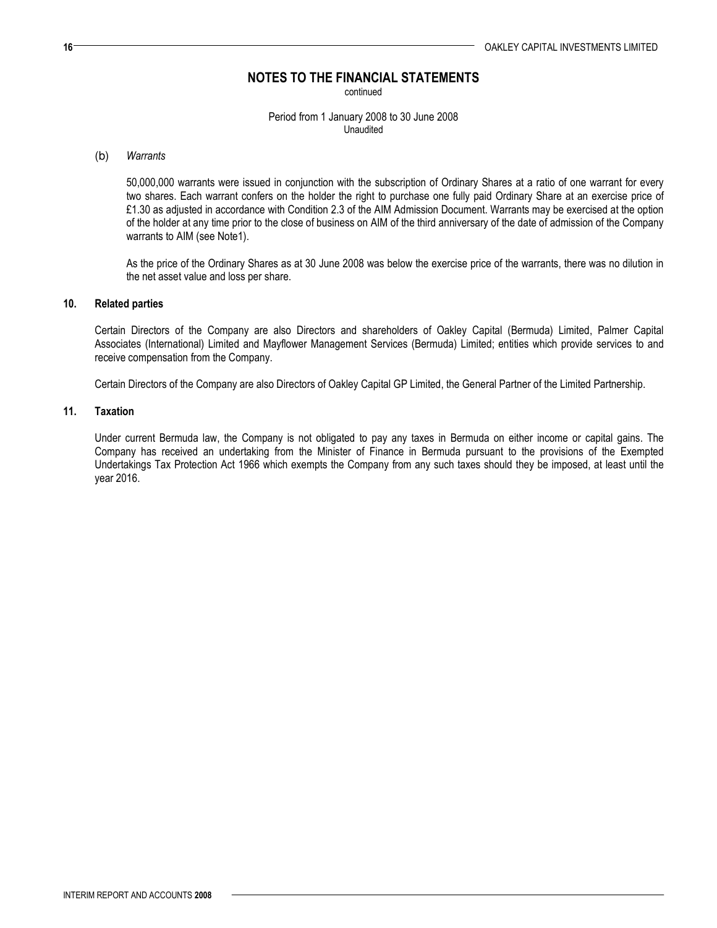continued

Period from 1 January 2008 to 30 June 2008 Unaudited

### (b) Warrants

50,000,000 warrants were issued in conjunction with the subscription of Ordinary Shares at a ratio of one warrant for every two shares. Each warrant confers on the holder the right to purchase one fully paid Ordinary Share at an exercise price of £1.30 as adjusted in accordance with Condition 2.3 of the AIM Admission Document. Warrants may be exercised at the option of the holder at any time prior to the close of business on AIM of the third anniversary of the date of admission of the Company warrants to AIM (see Note1).

As the price of the Ordinary Shares as at 30 June 2008 was below the exercise price of the warrants, there was no dilution in the net asset value and loss per share.

## 10. Related parties

Certain Directors of the Company are also Directors and shareholders of Oakley Capital (Bermuda) Limited, Palmer Capital Associates (International) Limited and Mayflower Management Services (Bermuda) Limited; entities which provide services to and receive compensation from the Company.

Certain Directors of the Company are also Directors of Oakley Capital GP Limited, the General Partner of the Limited Partnership.

## 11. Taxation

Under current Bermuda law, the Company is not obligated to pay any taxes in Bermuda on either income or capital gains. The Company has received an undertaking from the Minister of Finance in Bermuda pursuant to the provisions of the Exempted Undertakings Tax Protection Act 1966 which exempts the Company from any such taxes should they be imposed, at least until the year 2016.